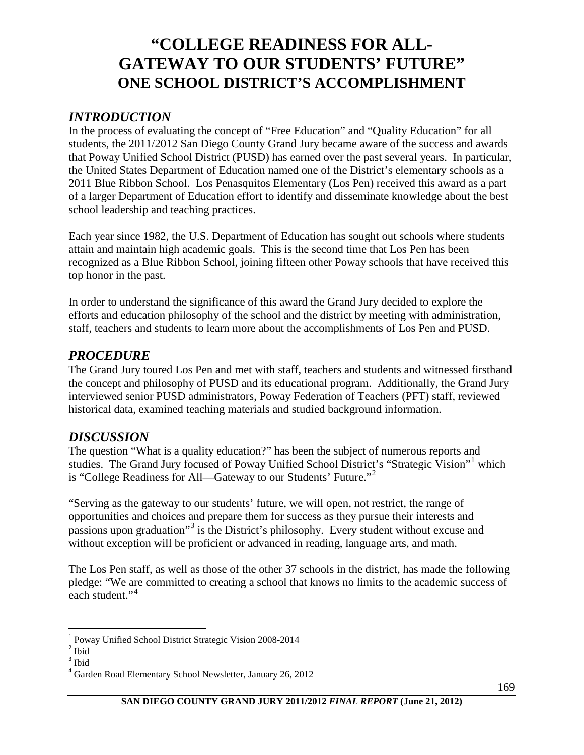# **"COLLEGE READINESS FOR ALL-GATEWAY TO OUR STUDENTS' FUTURE" ONE SCHOOL DISTRICT'S ACCOMPLISHMENT**

#### *INTRODUCTION*

In the process of evaluating the concept of "Free Education" and "Quality Education" for all students, the 2011/2012 San Diego County Grand Jury became aware of the success and awards that Poway Unified School District (PUSD) has earned over the past several years. In particular, the United States Department of Education named one of the District's elementary schools as a 2011 Blue Ribbon School. Los Penasquitos Elementary (Los Pen) received this award as a part of a larger Department of Education effort to identify and disseminate knowledge about the best school leadership and teaching practices.

Each year since 1982, the U.S. Department of Education has sought out schools where students attain and maintain high academic goals. This is the second time that Los Pen has been recognized as a Blue Ribbon School, joining fifteen other Poway schools that have received this top honor in the past.

In order to understand the significance of this award the Grand Jury decided to explore the efforts and education philosophy of the school and the district by meeting with administration, staff, teachers and students to learn more about the accomplishments of Los Pen and PUSD.

#### *PROCEDURE*

The Grand Jury toured Los Pen and met with staff, teachers and students and witnessed firsthand the concept and philosophy of PUSD and its educational program. Additionally, the Grand Jury interviewed senior PUSD administrators, Poway Federation of Teachers (PFT) staff, reviewed historical data, examined teaching materials and studied background information.

### *DISCUSSION*

The question "What is a quality education?" has been the subject of numerous reports and studies. The Grand Jury focused of Poway Unified School District's "Strategic Vision"[1](#page-0-0) which is "College Readiness for All—Gateway to our Students' Future."[2](#page-0-1)

"Serving as the gateway to our students' future, we will open, not restrict, the range of opportunities and choices and prepare them for success as they pursue their interests and passions upon graduation"[3](#page-0-2) is the District's philosophy. Every student without excuse and without exception will be proficient or advanced in reading, language arts, and math.

The Los Pen staff, as well as those of the other 37 schools in the district, has made the following pledge: "We are committed to creating a school that knows no limits to the academic success of each student."<sup>[4](#page-0-3)</sup>

l

<span id="page-0-1"></span><span id="page-0-0"></span> $^{\rm 1}$  Poway Unified School District Strategic Vision 2008-2014  $^{\rm 2}$  Ibid

<span id="page-0-2"></span><sup>3</sup> Ibid

<span id="page-0-3"></span><sup>4</sup> Garden Road Elementary School Newsletter, January 26, 2012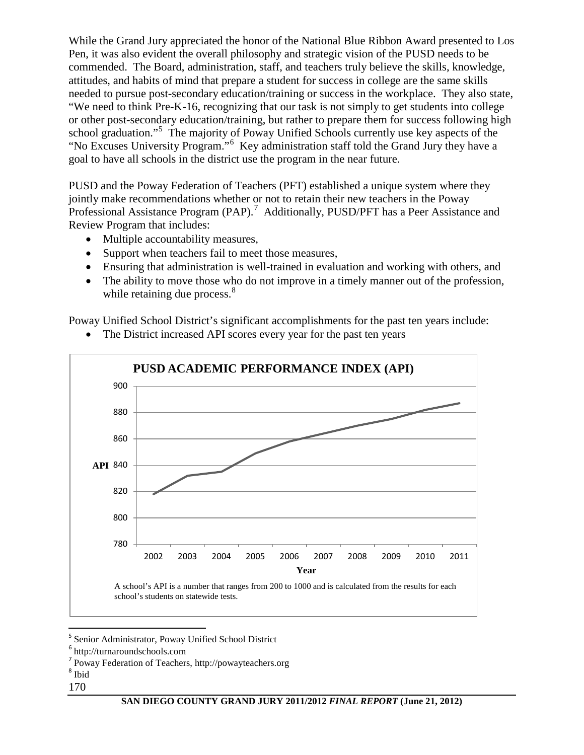While the Grand Jury appreciated the honor of the National Blue Ribbon Award presented to Los Pen, it was also evident the overall philosophy and strategic vision of the PUSD needs to be commended. The Board, administration, staff, and teachers truly believe the skills, knowledge, attitudes, and habits of mind that prepare a student for success in college are the same skills needed to pursue post-secondary education/training or success in the workplace. They also state, "We need to think Pre-K-16, recognizing that our task is not simply to get students into college or other post-secondary education/training, but rather to prepare them for success following high school graduation."<sup>[5](#page-1-0)</sup> The majority of Poway Unified Schools currently use key aspects of the "No Excuses University Program."<sup>[6](#page-1-1)</sup> Key administration staff told the Grand Jury they have a goal to have all schools in the district use the program in the near future.

PUSD and the Poway Federation of Teachers (PFT) established a unique system where they jointly make recommendations whether or not to retain their new teachers in the Poway Professional Assistance Program  $(PAP)$ .<sup>[7](#page-1-2)</sup> Additionally, PUSD/PFT has a Peer Assistance and Review Program that includes:

- Multiple accountability measures,
- Support when teachers fail to meet those measures,
- Ensuring that administration is well-trained in evaluation and working with others, and
- The ability to move those who do not improve in a timely manner out of the profession, while retaining due process.<sup>[8](#page-1-3)</sup>

Poway Unified School District's significant accomplishments for the past ten years include:



• The District increased API scores every year for the past ten years

- <span id="page-1-3"></span><span id="page-1-2"></span> $^8$ Ibid
- 170

<span id="page-1-0"></span> <sup>5</sup> Senior Administrator, Poway Unified School District

<span id="page-1-1"></span><sup>6</sup> http://turnaroundschools.com

<sup>7</sup> Poway Federation of Teachers, http://powayteachers.org